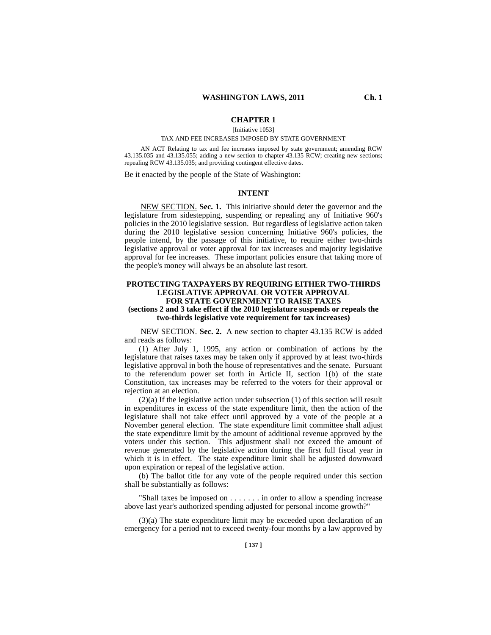# **CHAPTER 1**

[Initiative 1053]

#### TAX AND FEE INCREASES IMPOSED BY STATE GOVERNMENT

AN ACT Relating to tax and fee increases imposed by state government; amending RCW 43.135.035 and 43.135.055; adding a new section to chapter 43.135 RCW; creating new sections; repealing RCW 43.135.035; and providing contingent effective dates.

Be it enacted by the people of the State of Washington:

#### **INTENT**

NEW SECTION. **Sec. 1.** This initiative should deter the governor and the legislature from sidestepping, suspending or repealing any of Initiative 960's policies in the 2010 legislative session. But regardless of legislative action taken during the 2010 legislative session concerning Initiative 960's policies, the people intend, by the passage of this initiative, to require either two-thirds legislative approval or voter approval for tax increases and majority legislative approval for fee increases. These important policies ensure that taking more of the people's money will always be an absolute last resort.

### **PROTECTING TAXPAYERS BY REQUIRING EITHER TWO-THIRDS LEGISLATIVE APPROVAL OR VOTER APPROVAL FOR STATE GOVERNMENT TO RAISE TAXES**

### **(sections 2 and 3 take effect if the 2010 legislature suspends or repeals the two-thirds legislative vote requirement for tax increases)**

NEW SECTION. **Sec. 2.** A new section to chapter 43.135 RCW is added and reads as follows:

(1) After July 1, 1995, any action or combination of actions by the legislature that raises taxes may be taken only if approved by at least two-thirds legislative approval in both the house of representatives and the senate. Pursuant to the referendum power set forth in Article II, section 1(b) of the state Constitution, tax increases may be referred to the voters for their approval or rejection at an election.

 $(2)(a)$  If the legislative action under subsection (1) of this section will result in expenditures in excess of the state expenditure limit, then the action of the legislature shall not take effect until approved by a vote of the people at a November general election. The state expenditure limit committee shall adjust the state expenditure limit by the amount of additional revenue approved by the voters under this section. This adjustment shall not exceed the amount of revenue generated by the legislative action during the first full fiscal year in which it is in effect. The state expenditure limit shall be adjusted downward upon expiration or repeal of the legislative action.

(b) The ballot title for any vote of the people required under this section shall be substantially as follows:

"Shall taxes be imposed on . . . . . . . in order to allow a spending increase above last year's authorized spending adjusted for personal income growth?"

(3)(a) The state expenditure limit may be exceeded upon declaration of an emergency for a period not to exceed twenty-four months by a law approved by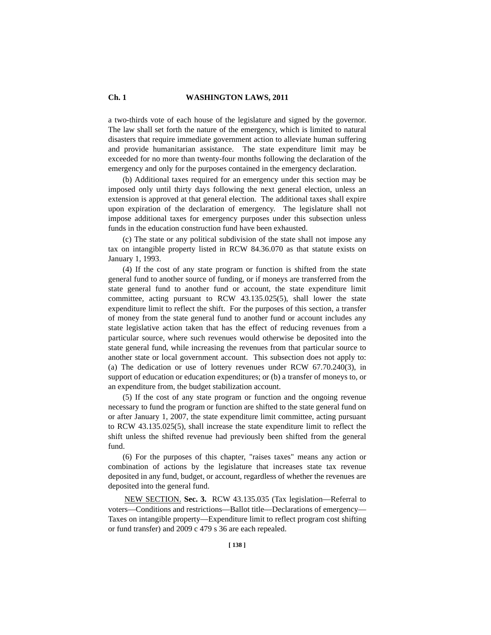# **Ch. 1 WASHINGTON LAWS, 2011**

a two-thirds vote of each house of the legislature and signed by the governor. The law shall set forth the nature of the emergency, which is limited to natural disasters that require immediate government action to alleviate human suffering and provide humanitarian assistance. The state expenditure limit may be exceeded for no more than twenty-four months following the declaration of the emergency and only for the purposes contained in the emergency declaration.

(b) Additional taxes required for an emergency under this section may be imposed only until thirty days following the next general election, unless an extension is approved at that general election. The additional taxes shall expire upon expiration of the declaration of emergency. The legislature shall not impose additional taxes for emergency purposes under this subsection unless funds in the education construction fund have been exhausted.

(c) The state or any political subdivision of the state shall not impose any tax on intangible property listed in RCW 84.36.070 as that statute exists on January 1, 1993.

(4) If the cost of any state program or function is shifted from the state general fund to another source of funding, or if moneys are transferred from the state general fund to another fund or account, the state expenditure limit committee, acting pursuant to RCW  $43.135.025(5)$ , shall lower the state expenditure limit to reflect the shift. For the purposes of this section, a transfer of money from the state general fund to another fund or account includes any state legislative action taken that has the effect of reducing revenues from a particular source, where such revenues would otherwise be deposited into the state general fund, while increasing the revenues from that particular source to another state or local government account. This subsection does not apply to: (a) The dedication or use of lottery revenues under RCW 67.70.240(3), in support of education or education expenditures; or (b) a transfer of moneys to, or an expenditure from, the budget stabilization account.

(5) If the cost of any state program or function and the ongoing revenue necessary to fund the program or function are shifted to the state general fund on or after January 1, 2007, the state expenditure limit committee, acting pursuant to RCW 43.135.025(5), shall increase the state expenditure limit to reflect the shift unless the shifted revenue had previously been shifted from the general fund.

(6) For the purposes of this chapter, "raises taxes" means any action or combination of actions by the legislature that increases state tax revenue deposited in any fund, budget, or account, regardless of whether the revenues are deposited into the general fund.

NEW SECTION. **Sec. 3.** RCW 43.135.035 (Tax legislation—Referral to voters—Conditions and restrictions—Ballot title—Declarations of emergency— Taxes on intangible property—Expenditure limit to reflect program cost shifting or fund transfer) and 2009 c 479 s 36 are each repealed.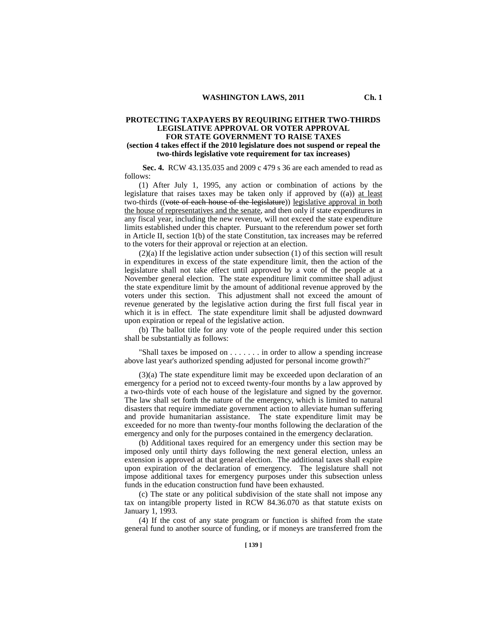# **PROTECTING TAXPAYERS BY REQUIRING EITHER TWO-THIRDS LEGISLATIVE APPROVAL OR VOTER APPROVAL FOR STATE GOVERNMENT TO RAISE TAXES**

## **(section 4 takes effect if the 2010 legislature does not suspend or repeal the two-thirds legislative vote requirement for tax increases)**

 **Sec. 4.** RCW 43.135.035 and 2009 c 479 s 36 are each amended to read as follows:

(1) After July 1, 1995, any action or combination of actions by the legislature that raises taxes may be taken only if approved by  $((a))$  at least two-thirds ((vote of each house of the legislature)) legislative approval in both the house of representatives and the senate, and then only if state expenditures in any fiscal year, including the new revenue, will not exceed the state expenditure limits established under this chapter. Pursuant to the referendum power set forth in Article II, section 1(b) of the state Constitution, tax increases may be referred to the voters for their approval or rejection at an election.

 $(2)(a)$  If the legislative action under subsection (1) of this section will result in expenditures in excess of the state expenditure limit, then the action of the legislature shall not take effect until approved by a vote of the people at a November general election. The state expenditure limit committee shall adjust the state expenditure limit by the amount of additional revenue approved by the voters under this section. This adjustment shall not exceed the amount of revenue generated by the legislative action during the first full fiscal year in which it is in effect. The state expenditure limit shall be adjusted downward upon expiration or repeal of the legislative action.

(b) The ballot title for any vote of the people required under this section shall be substantially as follows:

"Shall taxes be imposed on . . . . . . . in order to allow a spending increase above last year's authorized spending adjusted for personal income growth?"

(3)(a) The state expenditure limit may be exceeded upon declaration of an emergency for a period not to exceed twenty-four months by a law approved by a two-thirds vote of each house of the legislature and signed by the governor. The law shall set forth the nature of the emergency, which is limited to natural disasters that require immediate government action to alleviate human suffering and provide humanitarian assistance. The state expenditure limit may be exceeded for no more than twenty-four months following the declaration of the emergency and only for the purposes contained in the emergency declaration.

(b) Additional taxes required for an emergency under this section may be imposed only until thirty days following the next general election, unless an extension is approved at that general election. The additional taxes shall expire upon expiration of the declaration of emergency. The legislature shall not impose additional taxes for emergency purposes under this subsection unless funds in the education construction fund have been exhausted.

(c) The state or any political subdivision of the state shall not impose any tax on intangible property listed in RCW 84.36.070 as that statute exists on January 1, 1993.

(4) If the cost of any state program or function is shifted from the state general fund to another source of funding, or if moneys are transferred from the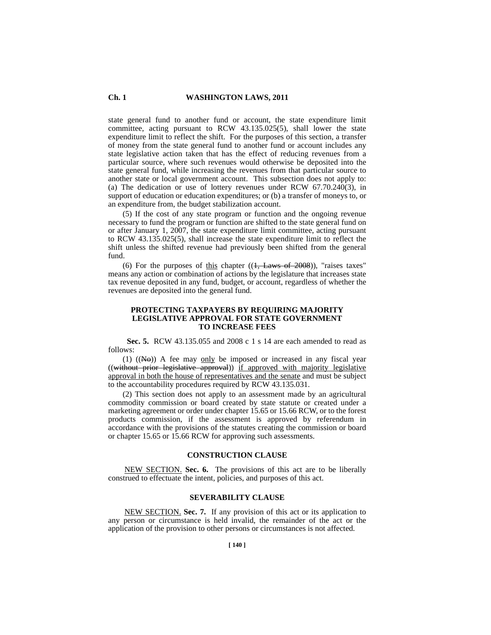## **Ch. 1 WASHINGTON LAWS, 2011**

state general fund to another fund or account, the state expenditure limit committee, acting pursuant to RCW 43.135.025(5), shall lower the state expenditure limit to reflect the shift. For the purposes of this section, a transfer of money from the state general fund to another fund or account includes any state legislative action taken that has the effect of reducing revenues from a particular source, where such revenues would otherwise be deposited into the state general fund, while increasing the revenues from that particular source to another state or local government account. This subsection does not apply to: (a) The dedication or use of lottery revenues under RCW 67.70.240(3), in support of education or education expenditures; or (b) a transfer of moneys to, or an expenditure from, the budget stabilization account.

(5) If the cost of any state program or function and the ongoing revenue necessary to fund the program or function are shifted to the state general fund on or after January 1, 2007, the state expenditure limit committee, acting pursuant to RCW 43.135.025(5), shall increase the state expenditure limit to reflect the shift unless the shifted revenue had previously been shifted from the general fund.

(6) For the purposes of this chapter  $((1,,$  Laws of 2008)), "raises taxes" means any action or combination of actions by the legislature that increases state tax revenue deposited in any fund, budget, or account, regardless of whether the revenues are deposited into the general fund.

## **PROTECTING TAXPAYERS BY REQUIRING MAJORITY LEGISLATIVE APPROVAL FOR STATE GOVERNMENT TO INCREASE FEES**

 **Sec. 5.** RCW 43.135.055 and 2008 c 1 s 14 are each amended to read as follows:

(1)  $((N\Theta))$  A fee may only be imposed or increased in any fiscal year ((without prior legislative approval)) if approved with majority legislative approval in both the house of representatives and the senate and must be subject to the accountability procedures required by RCW 43.135.031.

(2) This section does not apply to an assessment made by an agricultural commodity commission or board created by state statute or created under a marketing agreement or order under chapter 15.65 or 15.66 RCW, or to the forest products commission, if the assessment is approved by referendum in accordance with the provisions of the statutes creating the commission or board or chapter 15.65 or 15.66 RCW for approving such assessments.

#### **CONSTRUCTION CLAUSE**

NEW SECTION. **Sec. 6.** The provisions of this act are to be liberally construed to effectuate the intent, policies, and purposes of this act.

# **SEVERABILITY CLAUSE**

NEW SECTION. **Sec. 7.** If any provision of this act or its application to any person or circumstance is held invalid, the remainder of the act or the application of the provision to other persons or circumstances is not affected.